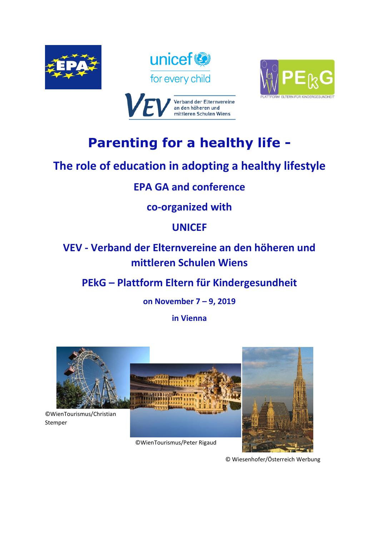







# **Parenting for a healthy life -**

## **The role of education in adopting a healthy lifestyle**

## **EPA GA and conference**

## **co-organized with**

## **UNICEF**

## **VEV - Verband der Elternvereine an den höheren und mittleren Schulen Wiens**

## **PEkG – Plattform Eltern für Kindergesundheit**

## **on November 7 – 9, 2019**

## **in Vienna**



©WienTourismus/Peter Rigaud



© Wiesenhofer/Österreich Werbung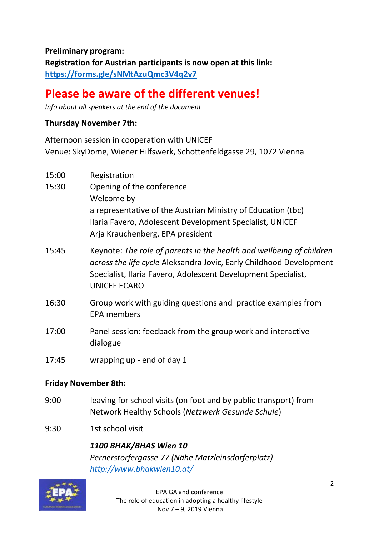**Preliminary program: Registration for Austrian participants is now open at this link: <https://forms.gle/sNMtAzuQmc3V4q2v7>**

## **Please be aware of the different venues!**

*Info about all speakers at the end of the document*

#### **Thursday November 7th:**

Afternoon session in cooperation with UNICEF Venue: SkyDome, Wiener Hilfswerk, Schottenfeldgasse 29, 1072 Vienna

| 15:00 | Registration                                                                                                                                                                                                                        |
|-------|-------------------------------------------------------------------------------------------------------------------------------------------------------------------------------------------------------------------------------------|
| 15:30 | Opening of the conference                                                                                                                                                                                                           |
|       | Welcome by                                                                                                                                                                                                                          |
|       | a representative of the Austrian Ministry of Education (tbc)                                                                                                                                                                        |
|       | Ilaria Favero, Adolescent Development Specialist, UNICEF                                                                                                                                                                            |
|       | Arja Krauchenberg, EPA president                                                                                                                                                                                                    |
| 15:45 | Keynote: The role of parents in the health and wellbeing of children<br>across the life cycle Aleksandra Jovic, Early Childhood Development<br>Specialist, Ilaria Favero, Adolescent Development Specialist,<br><b>UNICEF ECARO</b> |
| 16:30 | Group work with guiding questions and practice examples from<br><b>EPA members</b>                                                                                                                                                  |
| 17:00 | Panel session: feedback from the group work and interactive<br>dialogue                                                                                                                                                             |

17:45 wrapping up - end of day 1

#### **Friday November 8th:**

- 9:00 leaving for school visits (on foot and by public transport) from Network Healthy Schools (*Netzwerk Gesunde Schule*)
- 9:30 1st school visit

*1100 BHAK/BHAS Wien 10 Pernerstorfergasse 77 (Nähe Matzleinsdorferplatz) <http://www.bhakwien10.at/>*

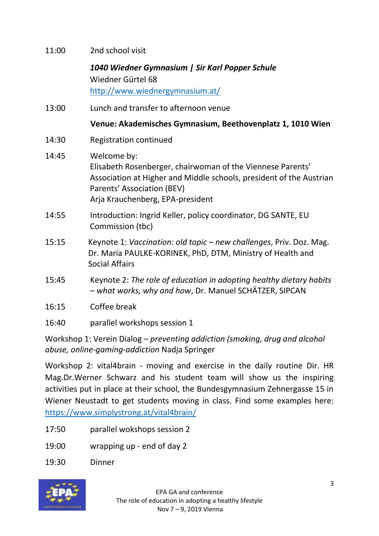| 11:00 | 2nd school visit                                                                                                                                                                                                   |
|-------|--------------------------------------------------------------------------------------------------------------------------------------------------------------------------------------------------------------------|
|       | 1040 Wiedner Gymnasium   Sir Karl Popper Schule<br>Wiedner Gürtel 68<br>http://www.wiednergymnasium.at/                                                                                                            |
| 13:00 | Lunch and transfer to afternoon venue                                                                                                                                                                              |
|       | Venue: Akademisches Gymnasium, Beethovenplatz 1, 1010 Wien                                                                                                                                                         |
| 14:30 | <b>Registration continued</b>                                                                                                                                                                                      |
| 14:45 | Welcome by:<br>Elisabeth Rosenberger, chairwoman of the Viennese Parents'<br>Association at Higher and Middle schools, president of the Austrian<br>Parents' Association (BEV)<br>Arja Krauchenberg, EPA-president |
| 14:55 | Introduction: Ingrid Keller, policy coordinator, DG SANTE, EU<br>Commission (tbc)                                                                                                                                  |
| 15:15 | Keynote 1: Vaccination: old topic - new challenges, Priv. Doz. Mag.<br>Dr. Maria PAULKE-KORINEK, PhD, DTM, Ministry of Health and<br><b>Social Affairs</b>                                                         |
| 15:45 | Keynote 2: The role of education in adopting healthy dietary habits<br>- what works, why and how, Dr. Manuel SCHÄTZER, SIPCAN                                                                                      |
| 16:15 | Coffee break                                                                                                                                                                                                       |
| 16:40 | parallel workshops session 1                                                                                                                                                                                       |

Workshop 1: Verein Dialog – *preventing addiction (smoking, drug and alcohol abuse, online-gaming-addiction* Nadja Springer

Workshop 2: vital4brain - moving and exercise in the daily routine Dir. HR Mag.Dr.Werner Schwarz and his student team will show us the inspiring activities put in place at their school, the Bundesgymnasium Zehnergasse 15 in Wiener Neustadt to get students moving in class. Find some examples here: <https://www.simplystrong.at/vital4brain/>

- 17:50 parallel wokshops session 2
- 19:00 wrapping up end of day 2
- 19:30 Dinner

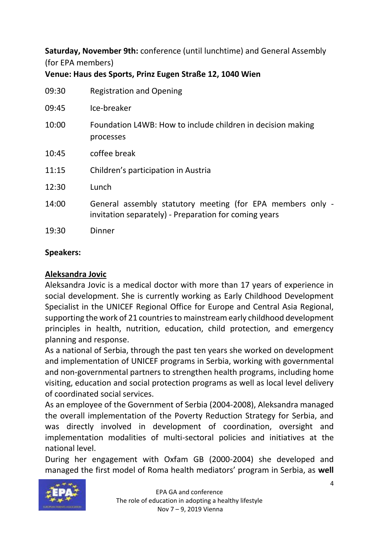**Saturday, November 9th:** conference (until lunchtime) and General Assembly (for EPA members)

**Venue: Haus des Sports, Prinz Eugen Straße 12, 1040 Wien**

| 09:30 | <b>Registration and Opening</b>                                                                                     |
|-------|---------------------------------------------------------------------------------------------------------------------|
| 09:45 | Ice-breaker                                                                                                         |
| 10:00 | Foundation L4WB: How to include children in decision making<br>processes                                            |
| 10:45 | coffee break                                                                                                        |
| 11:15 | Children's participation in Austria                                                                                 |
| 12:30 | Lunch                                                                                                               |
| 14:00 | General assembly statutory meeting (for EPA members only -<br>invitation separately) - Preparation for coming years |
| 19:30 | Dinner                                                                                                              |

### **Speakers:**

## **Aleksandra Jovic**

Aleksandra Jovic is a medical doctor with more than 17 years of experience in social development. She is currently working as Early Childhood Development Specialist in the UNICEF Regional Office for Europe and Central Asia Regional, supporting the work of 21 countries to mainstream early childhood development principles in health, nutrition, education, child protection, and emergency planning and response.

As a national of Serbia, through the past ten years she worked on development and implementation of UNICEF programs in Serbia, working with governmental and non-governmental partners to strengthen health programs, including home visiting, education and social protection programs as well as local level delivery of coordinated social services.

As an employee of the Government of Serbia (2004-2008), Aleksandra managed the overall implementation of the Poverty Reduction Strategy for Serbia, and was directly involved in development of coordination, oversight and implementation modalities of multi-sectoral policies and initiatives at the national level.

During her engagement with Oxfam GB (2000-2004) she developed and managed the first model of Roma health mediators' program in Serbia, as **well** 

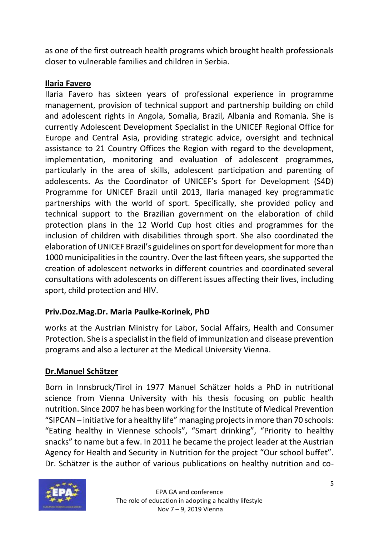as one of the first outreach health programs which brought health professionals closer to vulnerable families and children in Serbia.

### **Ilaria Favero**

Ilaria Favero has sixteen years of professional experience in programme management, provision of technical support and partnership building on child and adolescent rights in Angola, Somalia, Brazil, Albania and Romania. She is currently Adolescent Development Specialist in the UNICEF Regional Office for Europe and Central Asia, providing strategic advice, oversight and technical assistance to 21 Country Offices the Region with regard to the development, implementation, monitoring and evaluation of adolescent programmes, particularly in the area of skills, adolescent participation and parenting of adolescents. As the Coordinator of UNICEF's Sport for Development (S4D) Programme for UNICEF Brazil until 2013, Ilaria managed key programmatic partnerships with the world of sport. Specifically, she provided policy and technical support to the Brazilian government on the elaboration of child protection plans in the 12 World Cup host cities and programmes for the inclusion of children with disabilities through sport. She also coordinated the elaboration of UNICEF Brazil's guidelines on sport for development for more than 1000 municipalities in the country. Over the last fifteen years, she supported the creation of adolescent networks in different countries and coordinated several consultations with adolescents on different issues affecting their lives, including sport, child protection and HIV.

## **Priv.Doz.Mag.Dr. Maria Paulke-Korinek, PhD**

works at the Austrian Ministry for Labor, Social Affairs, Health and Consumer Protection. She is a specialist in the field of immunization and disease prevention programs and also a lecturer at the Medical University Vienna.

## **Dr.Manuel Schätzer**

Born in Innsbruck/Tirol in 1977 Manuel Schätzer holds a PhD in nutritional science from Vienna University with his thesis focusing on public health nutrition. Since 2007 he has been working for the Institute of Medical Prevention "SIPCAN – initiative for a healthy life" managing projects in more than 70 schools: "Eating healthy in Viennese schools", "Smart drinking", "Priority to healthy snacks" to name but a few. In 2011 he became the project leader at the Austrian Agency for Health and Security in Nutrition for the project "Our school buffet". Dr. Schätzer is the author of various publications on healthy nutrition and co-